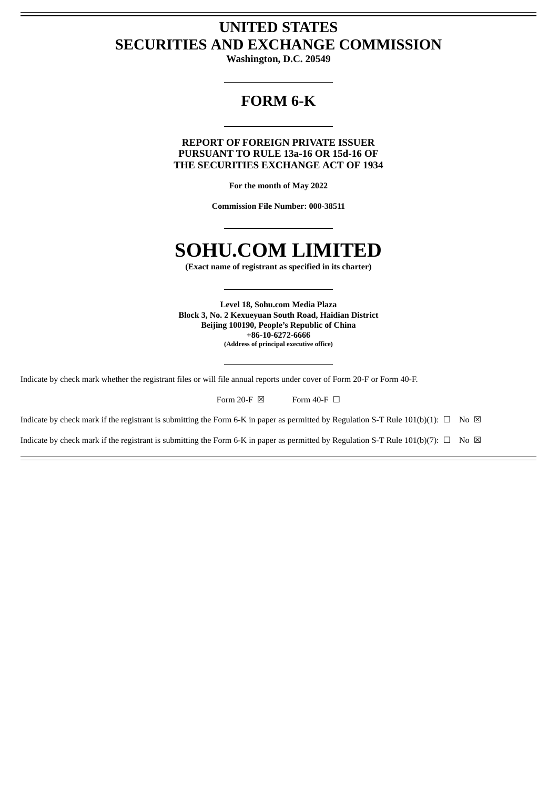# **UNITED STATES SECURITIES AND EXCHANGE COMMISSION**

**Washington, D.C. 20549**

# **FORM 6-K**

**REPORT OF FOREIGN PRIVATE ISSUER PURSUANT TO RULE 13a-16 OR 15d-16 OF THE SECURITIES EXCHANGE ACT OF 1934**

**For the month of May 2022**

**Commission File Number: 000-38511**

# **SOHU.COM LIMITED**

**(Exact name of registrant as specified in its charter)**

**Level 18, Sohu.com Media Plaza Block 3, No. 2 Kexueyuan South Road, Haidian District Beijing 100190, People's Republic of China +86-10-6272-6666 (Address of principal executive office)**

Indicate by check mark whether the registrant files or will file annual reports under cover of Form 20-F or Form 40-F.

| Form 20-F $\boxtimes$ | Form 40-F $\Box$ |
|-----------------------|------------------|
|-----------------------|------------------|

Indicate by check mark if the registrant is submitting the Form 6-K in paper as permitted by Regulation S-T Rule 101(b)(1):  $\Box$  No  $\boxtimes$ 

Indicate by check mark if the registrant is submitting the Form 6-K in paper as permitted by Regulation S-T Rule 101(b)(7):  $\Box$  No  $\boxtimes$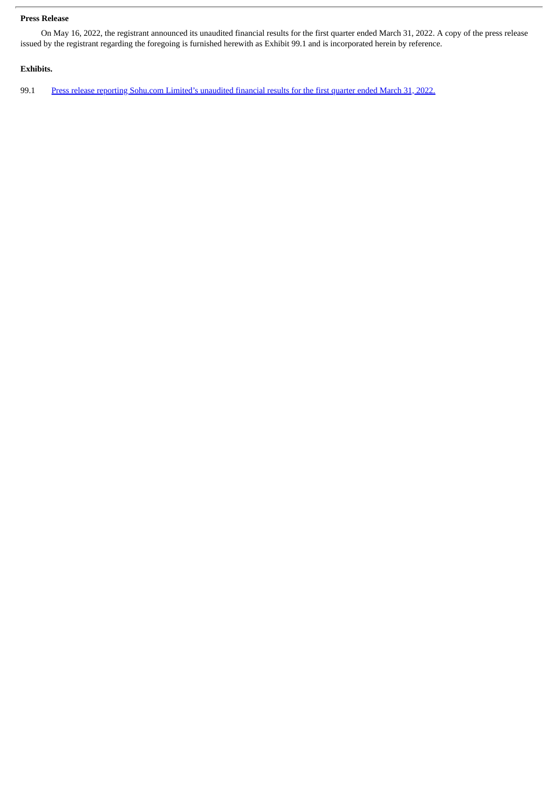#### **Press Release**

On May 16, 2022, the registrant announced its unaudited financial results for the first quarter ended March 31, 2022. A copy of the press release issued by the registrant regarding the foregoing is furnished herewith as Exhibit 99.1 and is incorporated herein by reference.

# **Exhibits.**

99.1 Press release reporting [Sohu.com](#page-3-0) Limited's unaudited financial results for the first quarter ended March 31, 2022.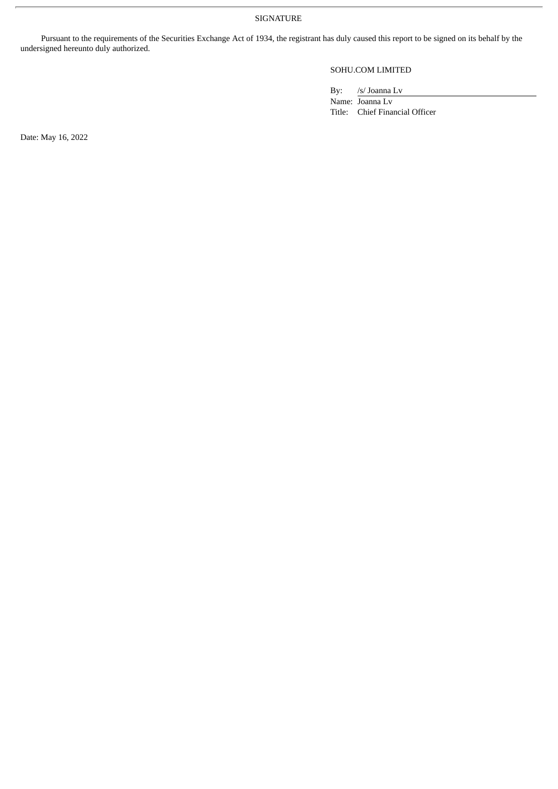SIGNATURE

Pursuant to the requirements of the Securities Exchange Act of 1934, the registrant has duly caused this report to be signed on its behalf by the undersigned hereunto duly authorized.

# SOHU.COM LIMITED

By: /s/ Joanna Lv

Name: Joanna Lv Title: Chief Financial Officer

Date: May 16, 2022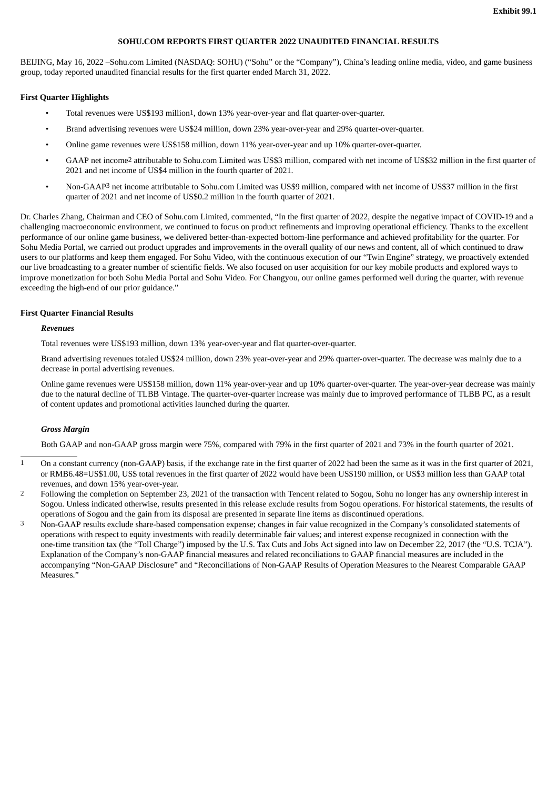#### **SOHU.COM REPORTS FIRST QUARTER 2022 UNAUDITED FINANCIAL RESULTS**

<span id="page-3-0"></span>BEIJING, May 16, 2022 –Sohu.com Limited (NASDAQ: SOHU) ("Sohu" or the "Company"), China's leading online media, video, and game business group, today reported unaudited financial results for the first quarter ended March 31, 2022.

# **First Quarter Highlights**

- Total revenues were US\$193 million1, down 13% year-over-year and flat quarter-over-quarter.
- Brand advertising revenues were US\$24 million, down 23% year-over-year and 29% quarter-over-quarter.
- Online game revenues were US\$158 million, down 11% year-over-year and up 10% quarter-over-quarter.
- GAAP net income2 attributable to Sohu.com Limited was US\$3 million, compared with net income of US\$32 million in the first quarter of 2021 and net income of US\$4 million in the fourth quarter of 2021.
- Non-GAAP3 net income attributable to Sohu.com Limited was US\$9 million, compared with net income of US\$37 million in the first quarter of 2021 and net income of US\$0.2 million in the fourth quarter of 2021.

Dr. Charles Zhang, Chairman and CEO of Sohu.com Limited, commented, "In the first quarter of 2022, despite the negative impact of COVID-19 and a challenging macroeconomic environment, we continued to focus on product refinements and improving operational efficiency. Thanks to the excellent performance of our online game business, we delivered better-than-expected bottom-line performance and achieved profitability for the quarter. For Sohu Media Portal, we carried out product upgrades and improvements in the overall quality of our news and content, all of which continued to draw users to our platforms and keep them engaged. For Sohu Video, with the continuous execution of our "Twin Engine" strategy, we proactively extended our live broadcasting to a greater number of scientific fields. We also focused on user acquisition for our key mobile products and explored ways to improve monetization for both Sohu Media Portal and Sohu Video. For Changyou, our online games performed well during the quarter, with revenue exceeding the high-end of our prior guidance."

# **First Quarter Financial Results**

#### *Revenues*

Total revenues were US\$193 million, down 13% year-over-year and flat quarter-over-quarter.

Brand advertising revenues totaled US\$24 million, down 23% year-over-year and 29% quarter-over-quarter. The decrease was mainly due to a decrease in portal advertising revenues.

Online game revenues were US\$158 million, down 11% year-over-year and up 10% quarter-over-quarter. The year-over-year decrease was mainly due to the natural decline of TLBB Vintage. The quarter-over-quarter increase was mainly due to improved performance of TLBB PC, as a result of content updates and promotional activities launched during the quarter.

# *Gross Margin*

Both GAAP and non-GAAP gross margin were 75%, compared with 79% in the first quarter of 2021 and 73% in the fourth quarter of 2021.

- 1 On a constant currency (non-GAAP) basis, if the exchange rate in the first quarter of 2022 had been the same as it was in the first quarter of 2021, or RMB6.48=US\$1.00, US\$ total revenues in the first quarter of 2022 would have been US\$190 million, or US\$3 million less than GAAP total revenues, and down 15% year-over-year.
- 2 Following the completion on September 23, 2021 of the transaction with Tencent related to Sogou, Sohu no longer has any ownership interest in Sogou. Unless indicated otherwise, results presented in this release exclude results from Sogou operations. For historical statements, the results of operations of Sogou and the gain from its disposal are presented in separate line items as discontinued operations.
- 3 Non-GAAP results exclude share-based compensation expense; changes in fair value recognized in the Company's consolidated statements of operations with respect to equity investments with readily determinable fair values; and interest expense recognized in connection with the one-time transition tax (the "Toll Charge") imposed by the U.S. Tax Cuts and Jobs Act signed into law on December 22, 2017 (the "U.S. TCJA"). Explanation of the Company's non-GAAP financial measures and related reconciliations to GAAP financial measures are included in the accompanying "Non-GAAP Disclosure" and "Reconciliations of Non-GAAP Results of Operation Measures to the Nearest Comparable GAAP Measures."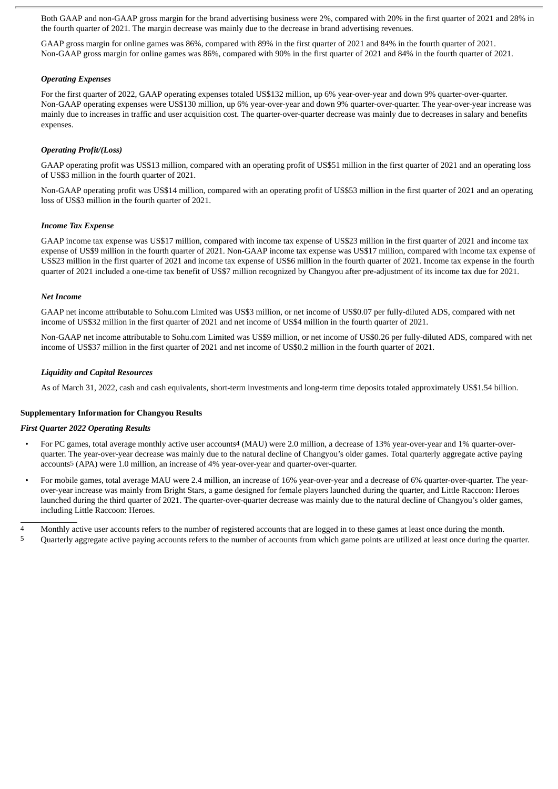Both GAAP and non-GAAP gross margin for the brand advertising business were 2%, compared with 20% in the first quarter of 2021 and 28% in the fourth quarter of 2021. The margin decrease was mainly due to the decrease in brand advertising revenues.

GAAP gross margin for online games was 86%, compared with 89% in the first quarter of 2021 and 84% in the fourth quarter of 2021. Non-GAAP gross margin for online games was 86%, compared with 90% in the first quarter of 2021 and 84% in the fourth quarter of 2021.

#### *Operating Expenses*

For the first quarter of 2022, GAAP operating expenses totaled US\$132 million, up 6% year-over-year and down 9% quarter-over-quarter. Non-GAAP operating expenses were US\$130 million, up 6% year-over-year and down 9% quarter-over-quarter. The year-over-year increase was mainly due to increases in traffic and user acquisition cost. The quarter-over-quarter decrease was mainly due to decreases in salary and benefits expenses.

#### *Operating Profit/(Loss)*

GAAP operating profit was US\$13 million, compared with an operating profit of US\$51 million in the first quarter of 2021 and an operating loss of US\$3 million in the fourth quarter of 2021.

Non-GAAP operating profit was US\$14 million, compared with an operating profit of US\$53 million in the first quarter of 2021 and an operating loss of US\$3 million in the fourth quarter of 2021.

#### *Income Tax Expense*

GAAP income tax expense was US\$17 million, compared with income tax expense of US\$23 million in the first quarter of 2021 and income tax expense of US\$9 million in the fourth quarter of 2021. Non-GAAP income tax expense was US\$17 million, compared with income tax expense of US\$23 million in the first quarter of 2021 and income tax expense of US\$6 million in the fourth quarter of 2021. Income tax expense in the fourth quarter of 2021 included a one-time tax benefit of US\$7 million recognized by Changyou after pre-adjustment of its income tax due for 2021.

#### *Net Income*

GAAP net income attributable to Sohu.com Limited was US\$3 million, or net income of US\$0.07 per fully-diluted ADS, compared with net income of US\$32 million in the first quarter of 2021 and net income of US\$4 million in the fourth quarter of 2021.

Non-GAAP net income attributable to Sohu.com Limited was US\$9 million, or net income of US\$0.26 per fully-diluted ADS, compared with net income of US\$37 million in the first quarter of 2021 and net income of US\$0.2 million in the fourth quarter of 2021.

#### *Liquidity and Capital Resources*

As of March 31, 2022, cash and cash equivalents, short-term investments and long-term time deposits totaled approximately US\$1.54 billion.

# **Supplementary Information for Changyou Results**

#### *First Quarter 2022 Operating Results*

- For PC games, total average monthly active user accounts<sup>4</sup> (MAU) were 2.0 million, a decrease of 13% year-over-year and 1% quarter-overquarter. The year-over-year decrease was mainly due to the natural decline of Changyou's older games. Total quarterly aggregate active paying accounts5 (APA) were 1.0 million, an increase of 4% year-over-year and quarter-over-quarter.
- For mobile games, total average MAU were 2.4 million, an increase of 16% year-over-year and a decrease of 6% quarter-over-quarter. The yearover-year increase was mainly from Bright Stars, a game designed for female players launched during the quarter, and Little Raccoon: Heroes launched during the third quarter of 2021. The quarter-over-quarter decrease was mainly due to the natural decline of Changyou's older games, including Little Raccoon: Heroes.

4 Monthly active user accounts refers to the number of registered accounts that are logged in to these games at least once during the month.

5 Quarterly aggregate active paying accounts refers to the number of accounts from which game points are utilized at least once during the quarter.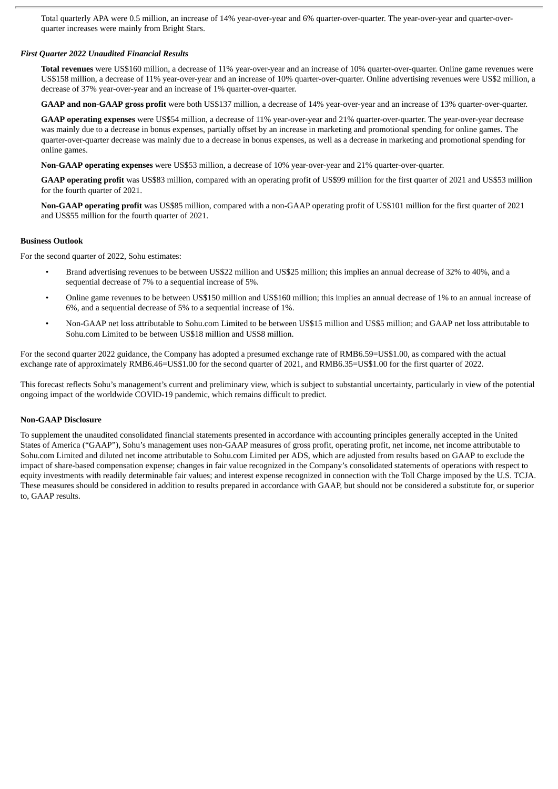Total quarterly APA were 0.5 million, an increase of 14% year-over-year and 6% quarter-over-quarter. The year-over-year and quarter-overquarter increases were mainly from Bright Stars.

# *First Quarter 2022 Unaudited Financial Results*

**Total revenues** were US\$160 million, a decrease of 11% year-over-year and an increase of 10% quarter-over-quarter. Online game revenues were US\$158 million, a decrease of 11% year-over-year and an increase of 10% quarter-over-quarter. Online advertising revenues were US\$2 million, a decrease of 37% year-over-year and an increase of 1% quarter-over-quarter.

**GAAP and non-GAAP gross profit** were both US\$137 million, a decrease of 14% year-over-year and an increase of 13% quarter-over-quarter.

**GAAP operating expenses** were US\$54 million, a decrease of 11% year-over-year and 21% quarter-over-quarter. The year-over-year decrease was mainly due to a decrease in bonus expenses, partially offset by an increase in marketing and promotional spending for online games. The quarter-over-quarter decrease was mainly due to a decrease in bonus expenses, as well as a decrease in marketing and promotional spending for online games.

**Non-GAAP operating expenses** were US\$53 million, a decrease of 10% year-over-year and 21% quarter-over-quarter.

**GAAP operating profit** was US\$83 million, compared with an operating profit of US\$99 million for the first quarter of 2021 and US\$53 million for the fourth quarter of 2021.

**Non-GAAP operating profit** was US\$85 million, compared with a non-GAAP operating profit of US\$101 million for the first quarter of 2021 and US\$55 million for the fourth quarter of 2021.

#### **Business Outlook**

For the second quarter of 2022, Sohu estimates:

- Brand advertising revenues to be between US\$22 million and US\$25 million; this implies an annual decrease of 32% to 40%, and a sequential decrease of 7% to a sequential increase of 5%.
- Online game revenues to be between US\$150 million and US\$160 million; this implies an annual decrease of 1% to an annual increase of 6%, and a sequential decrease of 5% to a sequential increase of 1%.
- Non-GAAP net loss attributable to Sohu.com Limited to be between US\$15 million and US\$5 million; and GAAP net loss attributable to Sohu.com Limited to be between US\$18 million and US\$8 million.

For the second quarter 2022 guidance, the Company has adopted a presumed exchange rate of RMB6.59=US\$1.00, as compared with the actual exchange rate of approximately RMB6.46=US\$1.00 for the second quarter of 2021, and RMB6.35=US\$1.00 for the first quarter of 2022.

This forecast reflects Sohu's management's current and preliminary view, which is subject to substantial uncertainty, particularly in view of the potential ongoing impact of the worldwide COVID-19 pandemic, which remains difficult to predict.

# **Non-GAAP Disclosure**

To supplement the unaudited consolidated financial statements presented in accordance with accounting principles generally accepted in the United States of America ("GAAP"), Sohu's management uses non-GAAP measures of gross profit, operating profit, net income, net income attributable to Sohu.com Limited and diluted net income attributable to Sohu.com Limited per ADS, which are adjusted from results based on GAAP to exclude the impact of share-based compensation expense; changes in fair value recognized in the Company's consolidated statements of operations with respect to equity investments with readily determinable fair values; and interest expense recognized in connection with the Toll Charge imposed by the U.S. TCJA. These measures should be considered in addition to results prepared in accordance with GAAP, but should not be considered a substitute for, or superior to, GAAP results.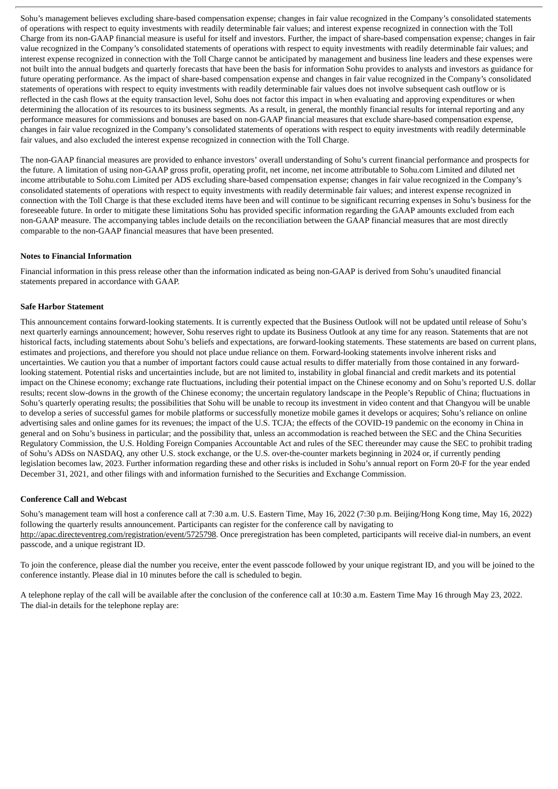Sohu's management believes excluding share-based compensation expense; changes in fair value recognized in the Company's consolidated statements of operations with respect to equity investments with readily determinable fair values; and interest expense recognized in connection with the Toll Charge from its non-GAAP financial measure is useful for itself and investors. Further, the impact of share-based compensation expense; changes in fair value recognized in the Company's consolidated statements of operations with respect to equity investments with readily determinable fair values; and interest expense recognized in connection with the Toll Charge cannot be anticipated by management and business line leaders and these expenses were not built into the annual budgets and quarterly forecasts that have been the basis for information Sohu provides to analysts and investors as guidance for future operating performance. As the impact of share-based compensation expense and changes in fair value recognized in the Company's consolidated statements of operations with respect to equity investments with readily determinable fair values does not involve subsequent cash outflow or is reflected in the cash flows at the equity transaction level, Sohu does not factor this impact in when evaluating and approving expenditures or when determining the allocation of its resources to its business segments. As a result, in general, the monthly financial results for internal reporting and any performance measures for commissions and bonuses are based on non-GAAP financial measures that exclude share-based compensation expense, changes in fair value recognized in the Company's consolidated statements of operations with respect to equity investments with readily determinable fair values, and also excluded the interest expense recognized in connection with the Toll Charge.

The non-GAAP financial measures are provided to enhance investors' overall understanding of Sohu's current financial performance and prospects for the future. A limitation of using non-GAAP gross profit, operating profit, net income, net income attributable to Sohu.com Limited and diluted net income attributable to Sohu.com Limited per ADS excluding share-based compensation expense; changes in fair value recognized in the Company's consolidated statements of operations with respect to equity investments with readily determinable fair values; and interest expense recognized in connection with the Toll Charge is that these excluded items have been and will continue to be significant recurring expenses in Sohu's business for the foreseeable future. In order to mitigate these limitations Sohu has provided specific information regarding the GAAP amounts excluded from each non-GAAP measure. The accompanying tables include details on the reconciliation between the GAAP financial measures that are most directly comparable to the non-GAAP financial measures that have been presented.

# **Notes to Financial Information**

Financial information in this press release other than the information indicated as being non-GAAP is derived from Sohu's unaudited financial statements prepared in accordance with GAAP.

# **Safe Harbor Statement**

This announcement contains forward-looking statements. It is currently expected that the Business Outlook will not be updated until release of Sohu's next quarterly earnings announcement; however, Sohu reserves right to update its Business Outlook at any time for any reason. Statements that are not historical facts, including statements about Sohu's beliefs and expectations, are forward-looking statements. These statements are based on current plans, estimates and projections, and therefore you should not place undue reliance on them. Forward-looking statements involve inherent risks and uncertainties. We caution you that a number of important factors could cause actual results to differ materially from those contained in any forwardlooking statement. Potential risks and uncertainties include, but are not limited to, instability in global financial and credit markets and its potential impact on the Chinese economy; exchange rate fluctuations, including their potential impact on the Chinese economy and on Sohu's reported U.S. dollar results; recent slow-downs in the growth of the Chinese economy; the uncertain regulatory landscape in the People's Republic of China; fluctuations in Sohu's quarterly operating results; the possibilities that Sohu will be unable to recoup its investment in video content and that Changyou will be unable to develop a series of successful games for mobile platforms or successfully monetize mobile games it develops or acquires; Sohu's reliance on online advertising sales and online games for its revenues; the impact of the U.S. TCJA; the effects of the COVID-19 pandemic on the economy in China in general and on Sohu's business in particular; and the possibility that, unless an accommodation is reached between the SEC and the China Securities Regulatory Commission, the U.S. Holding Foreign Companies Accountable Act and rules of the SEC thereunder may cause the SEC to prohibit trading of Sohu's ADSs on NASDAQ, any other U.S. stock exchange, or the U.S. over-the-counter markets beginning in 2024 or, if currently pending legislation becomes law, 2023. Further information regarding these and other risks is included in Sohu's annual report on Form 20-F for the year ended December 31, 2021, and other filings with and information furnished to the Securities and Exchange Commission.

# **Conference Call and Webcast**

Sohu's management team will host a conference call at 7:30 a.m. U.S. Eastern Time, May 16, 2022 (7:30 p.m. Beijing/Hong Kong time, May 16, 2022) following the quarterly results announcement. Participants can register for the conference call by navigating to http://apac.directeventreg.com/registration/event/5725798. Once preregistration has been completed, participants will receive dial-in numbers, an event passcode, and a unique registrant ID.

To join the conference, please dial the number you receive, enter the event passcode followed by your unique registrant ID, and you will be joined to the conference instantly. Please dial in 10 minutes before the call is scheduled to begin.

A telephone replay of the call will be available after the conclusion of the conference call at 10:30 a.m. Eastern Time May 16 through May 23, 2022. The dial-in details for the telephone replay are: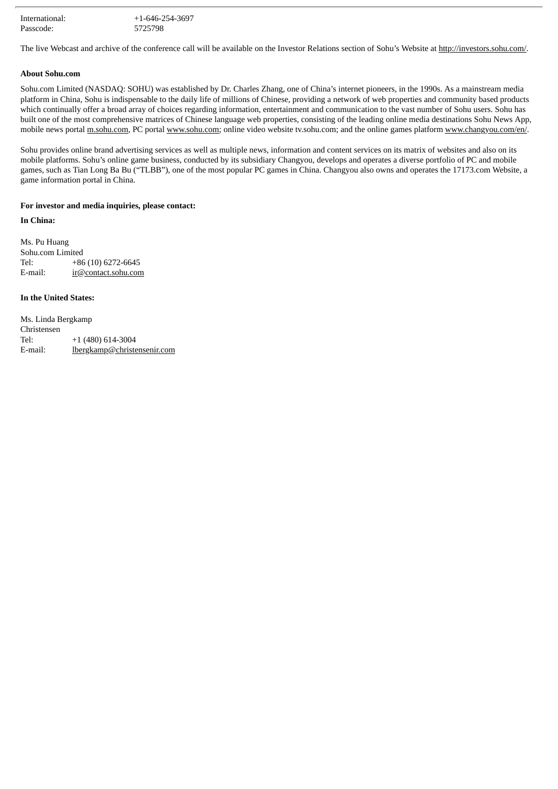Passcode: 5725798

International: +1-646-254-3697

The live Webcast and archive of the conference call will be available on the Investor Relations section of Sohu's Website at http://investors.sohu.com/.

# **About Sohu.com**

Sohu.com Limited (NASDAQ: SOHU) was established by Dr. Charles Zhang, one of China's internet pioneers, in the 1990s. As a mainstream media platform in China, Sohu is indispensable to the daily life of millions of Chinese, providing a network of web properties and community based products which continually offer a broad array of choices regarding information, entertainment and communication to the vast number of Sohu users. Sohu has built one of the most comprehensive matrices of Chinese language web properties, consisting of the leading online media destinations Sohu News App, mobile news portal m.sohu.com, PC portal www.sohu.com; online video website tv.sohu.com; and the online games platform www.changyou.com/en/.

Sohu provides online brand advertising services as well as multiple news, information and content services on its matrix of websites and also on its mobile platforms. Sohu's online game business, conducted by its subsidiary Changyou, develops and operates a diverse portfolio of PC and mobile games, such as Tian Long Ba Bu ("TLBB"), one of the most popular PC games in China. Changyou also owns and operates the 17173.com Website, a game information portal in China.

#### **For investor and media inquiries, please contact:**

#### **In China:**

Ms. Pu Huang Sohu.com Limited Tel: +86 (10) 6272-6645 E-mail: ir@contact.sohu.com

#### **In the United States:**

| Ms. Linda Bergkamp |                                    |  |  |  |  |  |  |
|--------------------|------------------------------------|--|--|--|--|--|--|
| Christensen        |                                    |  |  |  |  |  |  |
| Tel:               | $+1(480)$ 614-3004                 |  |  |  |  |  |  |
| E-mail:            | <u>lbergkamp@christensenir.com</u> |  |  |  |  |  |  |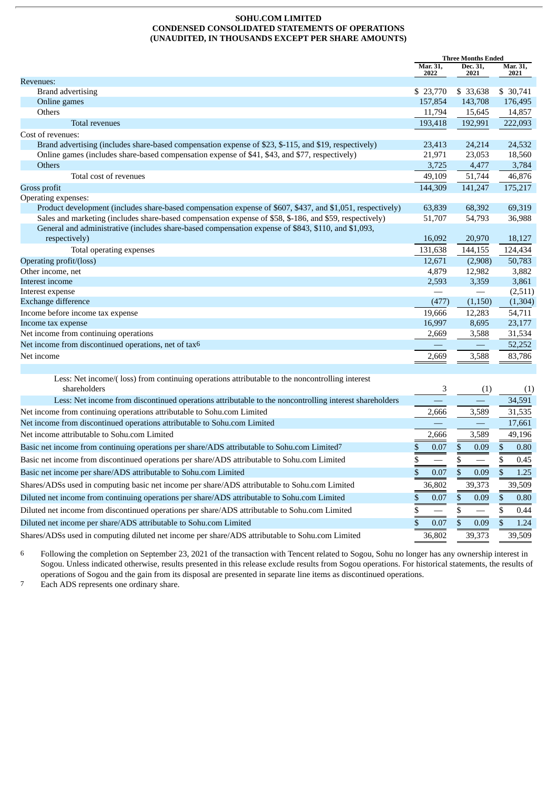# **SOHU.COM LIMITED CONDENSED CONSOLIDATED STATEMENTS OF OPERATIONS (UNAUDITED, IN THOUSANDS EXCEPT PER SHARE AMOUNTS)**

|                                                                                                            | <b>Three Months Ended</b>         |                                   |                     |
|------------------------------------------------------------------------------------------------------------|-----------------------------------|-----------------------------------|---------------------|
|                                                                                                            | Mar. 31,<br>2022                  | Dec. 31,<br>2021                  | Mar. 31,<br>2021    |
| Revenues:                                                                                                  |                                   |                                   |                     |
| <b>Brand advertising</b>                                                                                   | \$23,770                          | \$ 33,638                         | \$ 30,741           |
| Online games                                                                                               | 157,854                           | 143,708                           | 176,495             |
| Others                                                                                                     | 11,794                            | 15,645                            | 14,857              |
| <b>Total revenues</b>                                                                                      | 193,418                           | 192,991                           | 222,093             |
| Cost of revenues:                                                                                          |                                   |                                   |                     |
| Brand advertising (includes share-based compensation expense of \$23, \$-115, and \$19, respectively)      | 23,413                            | 24,214                            | 24,532              |
| Online games (includes share-based compensation expense of \$41, \$43, and \$77, respectively)             | 21,971                            | 23,053                            | 18,560              |
| Others                                                                                                     | 3,725                             | 4,477                             | 3,784               |
| Total cost of revenues                                                                                     | 49,109                            | 51,744                            | 46,876              |
| Gross profit                                                                                               | 144,309                           | 141,247                           | 175,217             |
| Operating expenses:                                                                                        |                                   |                                   |                     |
| Product development (includes share-based compensation expense of \$607, \$437, and \$1,051, respectively) | 63,839                            | 68,392                            | 69,319              |
| Sales and marketing (includes share-based compensation expense of \$58, \$-186, and \$59, respectively)    | 51,707                            | 54,793                            | 36,988              |
| General and administrative (includes share-based compensation expense of \$843, \$110, and \$1,093,        |                                   |                                   |                     |
| respectively)                                                                                              | 16,092                            | 20,970                            | 18,127              |
| Total operating expenses                                                                                   | 131,638                           | 144,155                           | 124,434             |
| Operating profit/(loss)                                                                                    | 12,671                            | (2,908)                           | 50,783              |
| Other income, net                                                                                          | 4,879                             | 12,982                            | 3,882               |
| Interest income<br>Interest expense                                                                        | 2,593<br>$\overline{\phantom{0}}$ | 3,359<br>$\overline{\phantom{m}}$ | 3,861               |
| Exchange difference                                                                                        | (477)                             | (1,150)                           | (2,511)<br>(1, 304) |
| Income before income tax expense                                                                           | 19,666                            | 12,283                            | 54,711              |
| Income tax expense                                                                                         | 16,997                            | 8,695                             | 23,177              |
| Net income from continuing operations                                                                      | 2,669                             | 3,588                             | 31,534              |
| Net income from discontinued operations, net of tax6                                                       |                                   | $\overline{\phantom{0}}$          | 52,252              |
| Net income                                                                                                 | 2,669                             | 3,588                             | 83,786              |
|                                                                                                            |                                   |                                   |                     |
| Less: Net income/(loss) from continuing operations attributable to the noncontrolling interest             |                                   |                                   |                     |
| shareholders                                                                                               | 3                                 | (1)                               | (1)                 |
| Less: Net income from discontinued operations attributable to the noncontrolling interest shareholders     |                                   |                                   | 34,591              |
| Net income from continuing operations attributable to Sohu.com Limited                                     | 2,666                             | 3,589                             | 31,535              |
| Net income from discontinued operations attributable to Sohu.com Limited                                   |                                   |                                   | 17,661              |
| Net income attributable to Sohu.com Limited                                                                | 2,666                             | 3,589                             | 49,196              |
| Basic net income from continuing operations per share/ADS attributable to Sohu.com ${\rm Limited^7}$       | \$<br>0.07                        | \$<br>0.09                        | \$<br>0.80          |
| Basic net income from discontinued operations per share/ADS attributable to Sohu.com Limited               | \$                                | \$                                | \$<br>0.45          |
| Basic net income per share/ADS attributable to Sohu.com Limited                                            | \$<br>0.07                        | \$<br>0.09                        | \$<br>1.25          |
| Shares/ADSs used in computing basic net income per share/ADS attributable to Sohu.com Limited              | 36,802                            | 39,373                            | 39,509              |
| Diluted net income from continuing operations per share/ADS attributable to Sohu.com Limited               | \$<br>0.07                        | \$<br>0.09                        | \$<br>0.80          |
| Diluted net income from discontinued operations per share/ADS attributable to Sohu.com Limited             | $\overline{\$}$                   | \$                                | \$<br>0.44          |
| Diluted net income per share/ADS attributable to Sohu.com Limited                                          | \$<br>0.07                        | \$<br>0.09                        | \$<br>1.24          |
| Shares/ADSs used in computing diluted net income per share/ADS attributable to Sohu.com Limited            | 36,802                            | 39,373                            | 39,509              |
|                                                                                                            |                                   |                                   |                     |

6 Following the completion on September 23, 2021 of the transaction with Tencent related to Sogou, Sohu no longer has any ownership interest in Sogou. Unless indicated otherwise, results presented in this release exclude results from Sogou operations. For historical statements, the results of operations of Sogou and the gain from its disposal are presented in separate line items as discontinued operations.

7 Each ADS represents one ordinary share.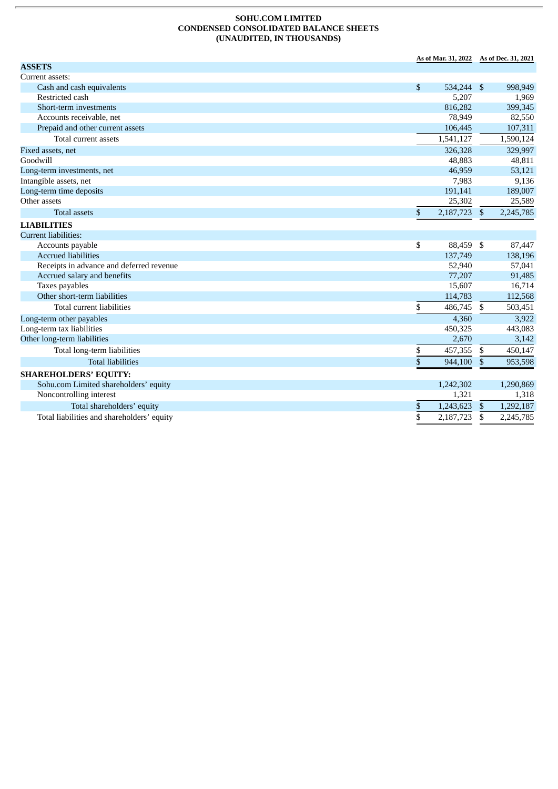# **SOHU.COM LIMITED CONDENSED CONSOLIDATED BALANCE SHEETS (UNAUDITED, IN THOUSANDS)**

|                                            | As of Mar. 31, 2022 As of Dec. 31, 2021 |            |                           |           |  |  |
|--------------------------------------------|-----------------------------------------|------------|---------------------------|-----------|--|--|
| <b>ASSETS</b>                              |                                         |            |                           |           |  |  |
| Current assets:                            |                                         |            |                           |           |  |  |
| Cash and cash equivalents                  | \$                                      | 534,244 \$ |                           | 998,949   |  |  |
| Restricted cash                            |                                         | 5,207      |                           | 1,969     |  |  |
| Short-term investments                     |                                         | 816,282    |                           | 399,345   |  |  |
| Accounts receivable, net                   |                                         | 78,949     |                           | 82,550    |  |  |
| Prepaid and other current assets           |                                         | 106,445    |                           | 107,311   |  |  |
| Total current assets                       |                                         | 1,541,127  |                           | 1,590,124 |  |  |
| Fixed assets, net                          |                                         | 326,328    |                           | 329,997   |  |  |
| Goodwill                                   |                                         | 48,883     |                           | 48,811    |  |  |
| Long-term investments, net                 |                                         | 46,959     |                           | 53,121    |  |  |
| Intangible assets, net                     |                                         | 7,983      |                           | 9,136     |  |  |
| Long-term time deposits                    |                                         | 191,141    |                           | 189,007   |  |  |
| Other assets                               |                                         | 25,302     |                           | 25,589    |  |  |
| <b>Total assets</b>                        | \$                                      | 2,187,723  | $\mathfrak{S}$            | 2,245,785 |  |  |
| <b>LIABILITIES</b>                         |                                         |            |                           |           |  |  |
| Current liabilities:                       |                                         |            |                           |           |  |  |
| Accounts payable                           | \$                                      | 88,459 \$  |                           | 87,447    |  |  |
| <b>Accrued liabilities</b>                 |                                         | 137,749    |                           | 138,196   |  |  |
| Receipts in advance and deferred revenue   |                                         | 52,940     |                           | 57,041    |  |  |
| Accrued salary and benefits                |                                         | 77,207     |                           | 91,485    |  |  |
| Taxes payables                             |                                         | 15,607     |                           | 16,714    |  |  |
| Other short-term liabilities               |                                         | 114,783    |                           | 112,568   |  |  |
| Total current liabilities                  | \$                                      | 486,745    | $\mathbb{S}$              | 503,451   |  |  |
| Long-term other payables                   |                                         | 4,360      |                           | 3,922     |  |  |
| Long-term tax liabilities                  |                                         | 450,325    |                           | 443,083   |  |  |
| Other long-term liabilities                |                                         | 2,670      |                           | 3,142     |  |  |
| Total long-term liabilities                | \$                                      | 457,355    | \$                        | 450,147   |  |  |
| <b>Total liabilities</b>                   | $\overline{\$}$                         | 944,100    | \$                        | 953,598   |  |  |
| <b>SHAREHOLDERS' EQUITY:</b>               |                                         |            |                           |           |  |  |
| Sohu.com Limited shareholders' equity      |                                         | 1,242,302  |                           | 1,290,869 |  |  |
| Noncontrolling interest                    |                                         | 1,321      |                           | 1,318     |  |  |
| Total shareholders' equity                 | \$                                      | 1,243,623  | $\boldsymbol{\mathsf{S}}$ | 1,292,187 |  |  |
| Total liabilities and shareholders' equity | \$                                      | 2,187,723  | \$                        | 2,245,785 |  |  |